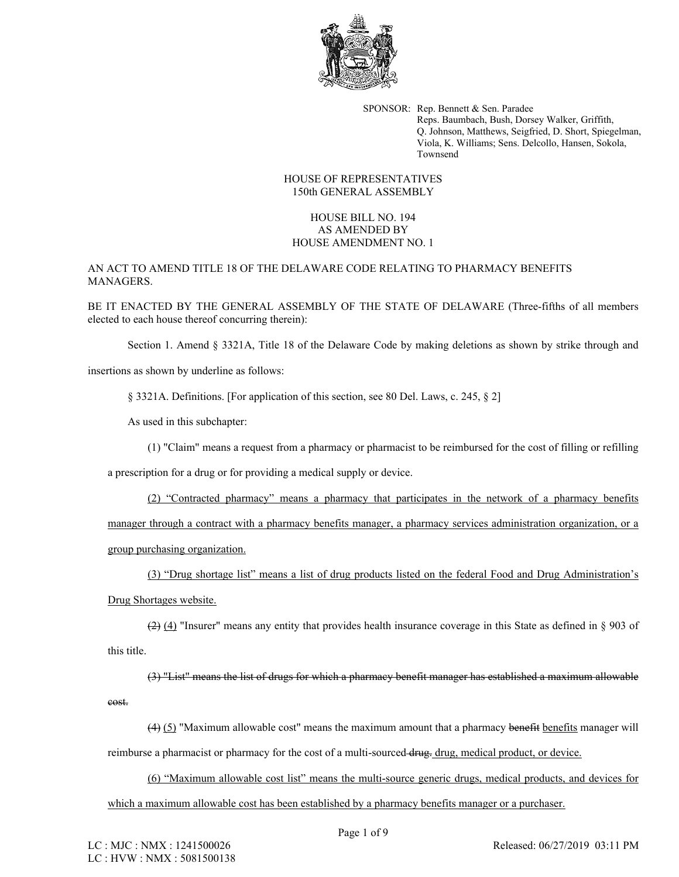

SPONSOR: Rep. Bennett & Sen. Paradee Reps. Baumbach, Bush, Dorsey Walker, Griffith, Q. Johnson, Matthews, Seigfried, D. Short, Spiegelman, Viola, K. Williams; Sens. Delcollo, Hansen, Sokola, Townsend

## HOUSE OF REPRESENTATIVES 150th GENERAL ASSEMBLY

## HOUSE BILL NO. 194 AS AMENDED BY HOUSE AMENDMENT NO. 1

AN ACT TO AMEND TITLE 18 OF THE DELAWARE CODE RELATING TO PHARMACY BENEFITS MANAGERS.

BE IT ENACTED BY THE GENERAL ASSEMBLY OF THE STATE OF DELAWARE (Three-fifths of all members elected to each house thereof concurring therein):

Section 1. Amend § 3321A, Title 18 of the Delaware Code by making deletions as shown by strike through and

insertions as shown by underline as follows:

§ 3321A. Definitions. [For application of this section, see 80 Del. Laws, c. 245, § 2]

As used in this subchapter:

(1) "Claim" means a request from a pharmacy or pharmacist to be reimbursed for the cost of filling or refilling

a prescription for a drug or for providing a medical supply or device.

(2) "Contracted pharmacy" means a pharmacy that participates in the network of a pharmacy benefits manager through a contract with a pharmacy benefits manager, a pharmacy services administration organization, or a group purchasing organization.

(3) "Drug shortage list" means a list of drug products listed on the federal Food and Drug Administration's Drug Shortages website.

(2) (4) "Insurer" means any entity that provides health insurance coverage in this State as defined in § 903 of this title.

(3) "List" means the list of drugs for which a pharmacy benefit manager has established a maximum allowable cost.

(4) (5) "Maximum allowable cost" means the maximum amount that a pharmacy benefit benefits manager will reimburse a pharmacist or pharmacy for the cost of a multi-sourced drug, medical product, or device.

(6) "Maximum allowable cost list" means the multi-source generic drugs, medical products, and devices for which a maximum allowable cost has been established by a pharmacy benefits manager or a purchaser.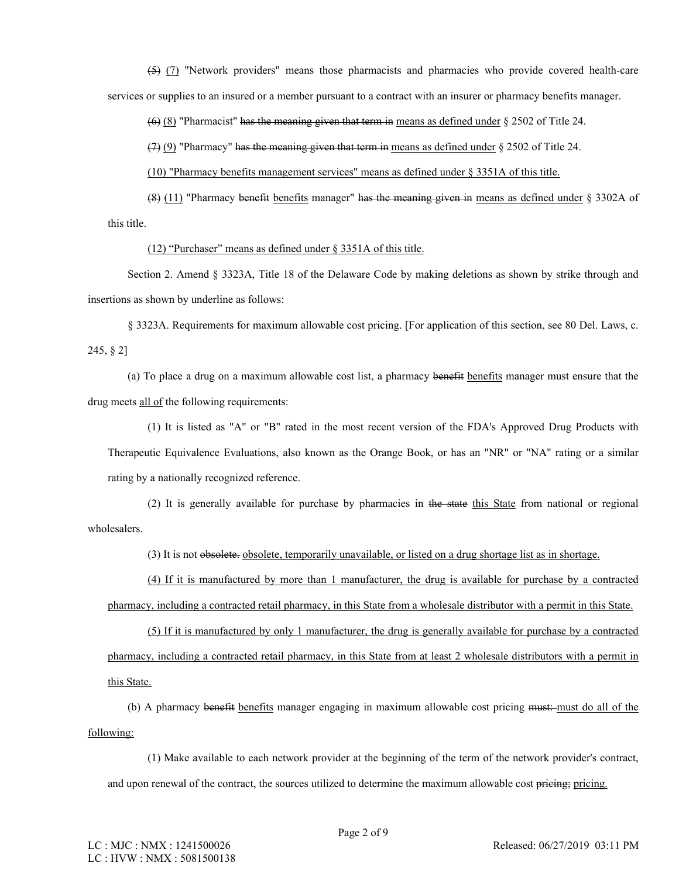(5) (7) "Network providers" means those pharmacists and pharmacies who provide covered health-care services or supplies to an insured or a member pursuant to a contract with an insurer or pharmacy benefits manager.

(6) (8) "Pharmacist" has the meaning given that term in means as defined under § 2502 of Title 24.

(7) (9) "Pharmacy" has the meaning given that term in means as defined under § 2502 of Title 24.

(10) "Pharmacy benefits management services" means as defined under § 3351A of this title.

(8) (11) "Pharmacy benefit benefits manager" has the meaning given in means as defined under § 3302A of this title.

(12) "Purchaser" means as defined under § 3351A of this title.

Section 2. Amend § 3323A, Title 18 of the Delaware Code by making deletions as shown by strike through and insertions as shown by underline as follows:

§ 3323A. Requirements for maximum allowable cost pricing. [For application of this section, see 80 Del. Laws, c. 245, § 2]

(a) To place a drug on a maximum allowable cost list, a pharmacy benefit benefits manager must ensure that the drug meets all of the following requirements:

(1) It is listed as "A" or "B" rated in the most recent version of the FDA's Approved Drug Products with Therapeutic Equivalence Evaluations, also known as the Orange Book, or has an "NR" or "NA" rating or a similar rating by a nationally recognized reference.

(2) It is generally available for purchase by pharmacies in the state this State from national or regional wholesalers.

(3) It is not obsolete. obsolete, temporarily unavailable, or listed on a drug shortage list as in shortage.

(4) If it is manufactured by more than 1 manufacturer, the drug is available for purchase by a contracted pharmacy, including a contracted retail pharmacy, in this State from a wholesale distributor with a permit in this State.

(5) If it is manufactured by only 1 manufacturer, the drug is generally available for purchase by a contracted pharmacy, including a contracted retail pharmacy, in this State from at least 2 wholesale distributors with a permit in this State.

(b) A pharmacy benefit benefits manager engaging in maximum allowable cost pricing must: must do all of the following:

(1) Make available to each network provider at the beginning of the term of the network provider's contract, and upon renewal of the contract, the sources utilized to determine the maximum allowable cost pricing pricing.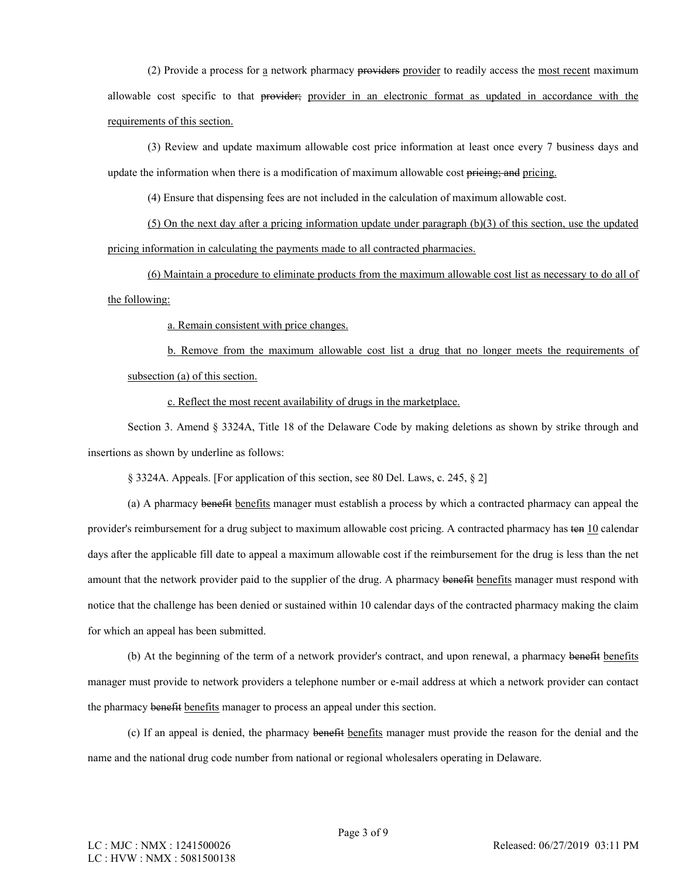(2) Provide a process for a network pharmacy providers provider to readily access the most recent maximum allowable cost specific to that provider; provider in an electronic format as updated in accordance with the requirements of this section.

(3) Review and update maximum allowable cost price information at least once every 7 business days and update the information when there is a modification of maximum allowable cost pricing; and pricing.

(4) Ensure that dispensing fees are not included in the calculation of maximum allowable cost.

(5) On the next day after a pricing information update under paragraph (b)(3) of this section, use the updated pricing information in calculating the payments made to all contracted pharmacies.

(6) Maintain a procedure to eliminate products from the maximum allowable cost list as necessary to do all of the following:

a. Remain consistent with price changes.

b. Remove from the maximum allowable cost list a drug that no longer meets the requirements of subsection (a) of this section.

c. Reflect the most recent availability of drugs in the marketplace.

Section 3. Amend § 3324A, Title 18 of the Delaware Code by making deletions as shown by strike through and insertions as shown by underline as follows:

§ 3324A. Appeals. [For application of this section, see 80 Del. Laws, c. 245, § 2]

(a) A pharmacy benefit benefits manager must establish a process by which a contracted pharmacy can appeal the provider's reimbursement for a drug subject to maximum allowable cost pricing. A contracted pharmacy has ten 10 calendar days after the applicable fill date to appeal a maximum allowable cost if the reimbursement for the drug is less than the net amount that the network provider paid to the supplier of the drug. A pharmacy benefit benefits manager must respond with notice that the challenge has been denied or sustained within 10 calendar days of the contracted pharmacy making the claim for which an appeal has been submitted.

(b) At the beginning of the term of a network provider's contract, and upon renewal, a pharmacy benefit benefits manager must provide to network providers a telephone number or e-mail address at which a network provider can contact the pharmacy benefit benefits manager to process an appeal under this section.

(c) If an appeal is denied, the pharmacy benefit benefits manager must provide the reason for the denial and the name and the national drug code number from national or regional wholesalers operating in Delaware.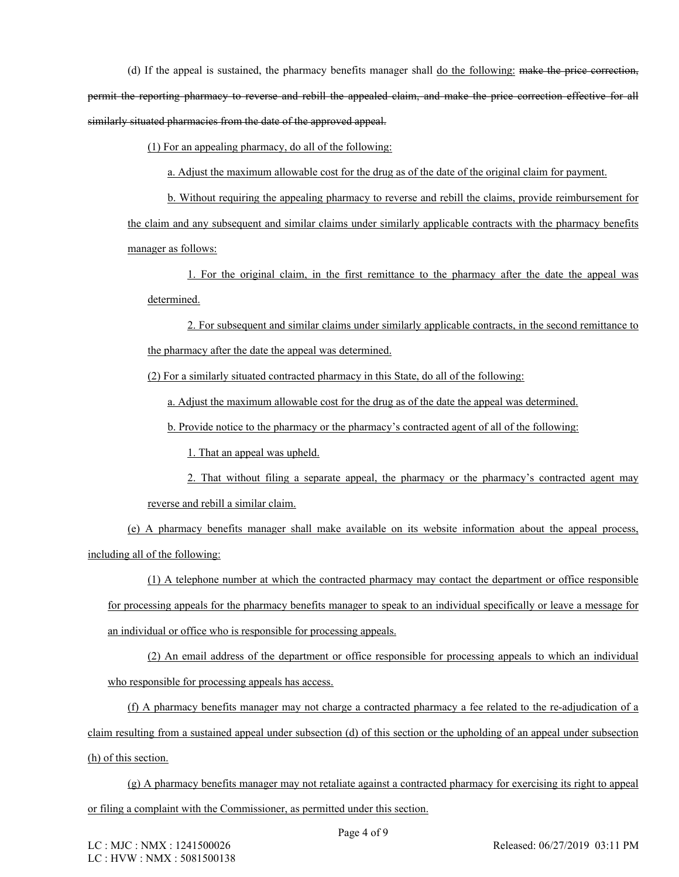(d) If the appeal is sustained, the pharmacy benefits manager shall do the following: make the price correction, permit the reporting pharmacy to reverse and rebill the appealed claim, and make the price correction effective for all similarly situated pharmacies from the date of the approved appeal.

(1) For an appealing pharmacy, do all of the following:

a. Adjust the maximum allowable cost for the drug as of the date of the original claim for payment.

b. Without requiring the appealing pharmacy to reverse and rebill the claims, provide reimbursement for the claim and any subsequent and similar claims under similarly applicable contracts with the pharmacy benefits manager as follows:

1. For the original claim, in the first remittance to the pharmacy after the date the appeal was determined.

2. For subsequent and similar claims under similarly applicable contracts, in the second remittance to the pharmacy after the date the appeal was determined.

(2) For a similarly situated contracted pharmacy in this State, do all of the following:

a. Adjust the maximum allowable cost for the drug as of the date the appeal was determined.

b. Provide notice to the pharmacy or the pharmacy's contracted agent of all of the following:

1. That an appeal was upheld.

2. That without filing a separate appeal, the pharmacy or the pharmacy's contracted agent may reverse and rebill a similar claim.

(e) A pharmacy benefits manager shall make available on its website information about the appeal process, including all of the following:

(1) A telephone number at which the contracted pharmacy may contact the department or office responsible for processing appeals for the pharmacy benefits manager to speak to an individual specifically or leave a message for an individual or office who is responsible for processing appeals.

(2) An email address of the department or office responsible for processing appeals to which an individual who responsible for processing appeals has access.

(f) A pharmacy benefits manager may not charge a contracted pharmacy a fee related to the re-adjudication of a claim resulting from a sustained appeal under subsection (d) of this section or the upholding of an appeal under subsection (h) of this section.

(g) A pharmacy benefits manager may not retaliate against a contracted pharmacy for exercising its right to appeal or filing a complaint with the Commissioner, as permitted under this section.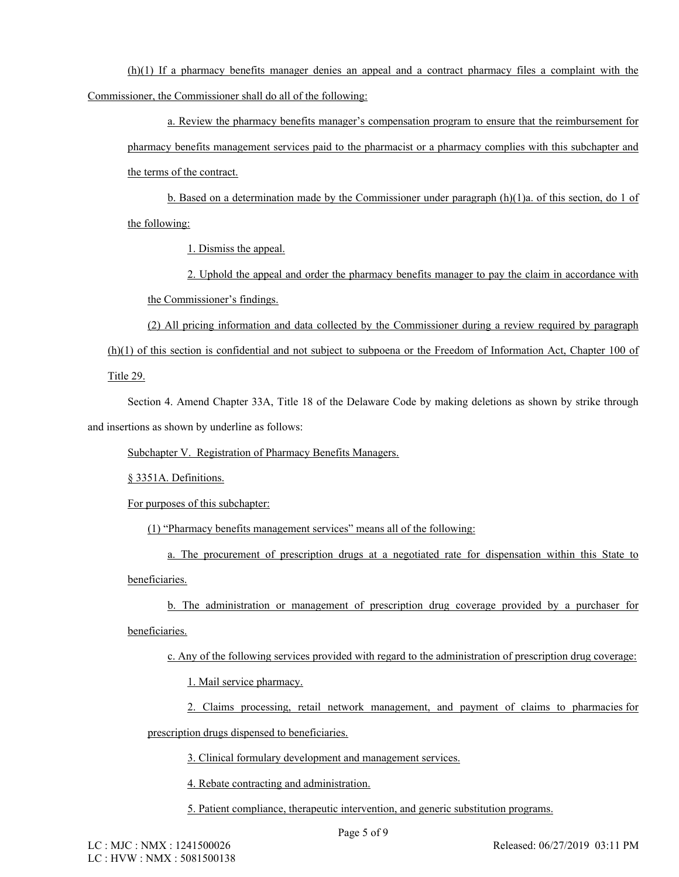(h)(1) If a pharmacy benefits manager denies an appeal and a contract pharmacy files a complaint with the Commissioner, the Commissioner shall do all of the following:

a. Review the pharmacy benefits manager's compensation program to ensure that the reimbursement for pharmacy benefits management services paid to the pharmacist or a pharmacy complies with this subchapter and the terms of the contract.

b. Based on a determination made by the Commissioner under paragraph (h)(1)a. of this section, do 1 of the following:

1. Dismiss the appeal.

2. Uphold the appeal and order the pharmacy benefits manager to pay the claim in accordance with the Commissioner's findings.

(2) All pricing information and data collected by the Commissioner during a review required by paragraph (h)(1) of this section is confidential and not subject to subpoena or the Freedom of Information Act, Chapter 100 of Title 29.

Section 4. Amend Chapter 33A, Title 18 of the Delaware Code by making deletions as shown by strike through and insertions as shown by underline as follows:

Subchapter V. Registration of Pharmacy Benefits Managers.

§ 3351A. Definitions.

For purposes of this subchapter:

(1) "Pharmacy benefits management services" means all of the following:

a. The procurement of prescription drugs at a negotiated rate for dispensation within this State to beneficiaries.

b. The administration or management of prescription drug coverage provided by a purchaser for beneficiaries.

c. Any of the following services provided with regard to the administration of prescription drug coverage:

1. Mail service pharmacy.

2. Claims processing, retail network management, and payment of claims to pharmacies for

prescription drugs dispensed to beneficiaries.

3. Clinical formulary development and management services.

4. Rebate contracting and administration.

5. Patient compliance, therapeutic intervention, and generic substitution programs.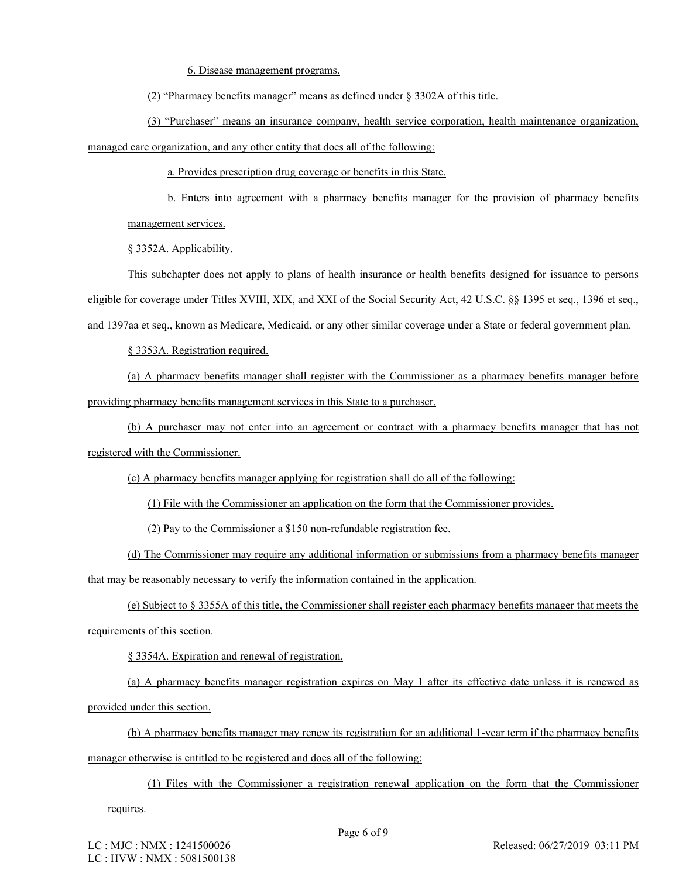6. Disease management programs.

(2) "Pharmacy benefits manager" means as defined under § 3302A of this title.

(3) "Purchaser" means an insurance company, health service corporation, health maintenance organization, managed care organization, and any other entity that does all of the following:

a. Provides prescription drug coverage or benefits in this State.

b. Enters into agreement with a pharmacy benefits manager for the provision of pharmacy benefits management services.

§ 3352A. Applicability.

This subchapter does not apply to plans of health insurance or health benefits designed for issuance to persons eligible for coverage under Titles XVIII, XIX, and XXI of the Social Security Act, 42 U.S.C. §§ 1395 et seq., 1396 et seq.,

and 1397aa et seq., known as Medicare, Medicaid, or any other similar coverage under a State or federal government plan.

§ 3353A. Registration required.

(a) A pharmacy benefits manager shall register with the Commissioner as a pharmacy benefits manager before providing pharmacy benefits management services in this State to a purchaser.

(b) A purchaser may not enter into an agreement or contract with a pharmacy benefits manager that has not registered with the Commissioner.

(c) A pharmacy benefits manager applying for registration shall do all of the following:

(1) File with the Commissioner an application on the form that the Commissioner provides.

(2) Pay to the Commissioner a \$150 non-refundable registration fee.

(d) The Commissioner may require any additional information or submissions from a pharmacy benefits manager that may be reasonably necessary to verify the information contained in the application.

(e) Subject to § 3355A of this title, the Commissioner shall register each pharmacy benefits manager that meets the requirements of this section.

§ 3354A. Expiration and renewal of registration.

(a) A pharmacy benefits manager registration expires on May 1 after its effective date unless it is renewed as provided under this section.

(b) A pharmacy benefits manager may renew its registration for an additional 1-year term if the pharmacy benefits manager otherwise is entitled to be registered and does all of the following:

(1) Files with the Commissioner a registration renewal application on the form that the Commissioner

requires.

LC : MJC : NMX : 1241500026 LC : HVW : NMX : 5081500138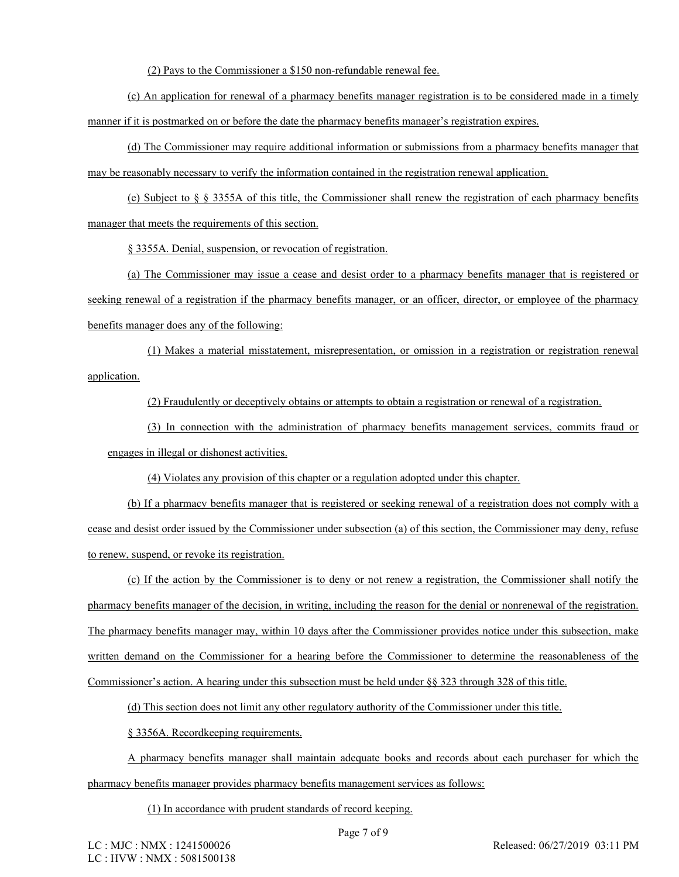(2) Pays to the Commissioner a \$150 non-refundable renewal fee.

(c) An application for renewal of a pharmacy benefits manager registration is to be considered made in a timely manner if it is postmarked on or before the date the pharmacy benefits manager's registration expires.

(d) The Commissioner may require additional information or submissions from a pharmacy benefits manager that may be reasonably necessary to verify the information contained in the registration renewal application.

(e) Subject to  $\S$   $\S$  3355A of this title, the Commissioner shall renew the registration of each pharmacy benefits manager that meets the requirements of this section.

§ 3355A. Denial, suspension, or revocation of registration.

(a) The Commissioner may issue a cease and desist order to a pharmacy benefits manager that is registered or seeking renewal of a registration if the pharmacy benefits manager, or an officer, director, or employee of the pharmacy benefits manager does any of the following:

(1) Makes a material misstatement, misrepresentation, or omission in a registration or registration renewal application.

(2) Fraudulently or deceptively obtains or attempts to obtain a registration or renewal of a registration.

(3) In connection with the administration of pharmacy benefits management services, commits fraud or engages in illegal or dishonest activities.

(4) Violates any provision of this chapter or a regulation adopted under this chapter.

(b) If a pharmacy benefits manager that is registered or seeking renewal of a registration does not comply with a cease and desist order issued by the Commissioner under subsection (a) of this section, the Commissioner may deny, refuse to renew, suspend, or revoke its registration.

(c) If the action by the Commissioner is to deny or not renew a registration, the Commissioner shall notify the pharmacy benefits manager of the decision, in writing, including the reason for the denial or nonrenewal of the registration. The pharmacy benefits manager may, within 10 days after the Commissioner provides notice under this subsection, make written demand on the Commissioner for a hearing before the Commissioner to determine the reasonableness of the Commissioner's action. A hearing under this subsection must be held under §§ 323 through 328 of this title.

(d) This section does not limit any other regulatory authority of the Commissioner under this title.

§ 3356A. Recordkeeping requirements.

A pharmacy benefits manager shall maintain adequate books and records about each purchaser for which the pharmacy benefits manager provides pharmacy benefits management services as follows:

(1) In accordance with prudent standards of record keeping.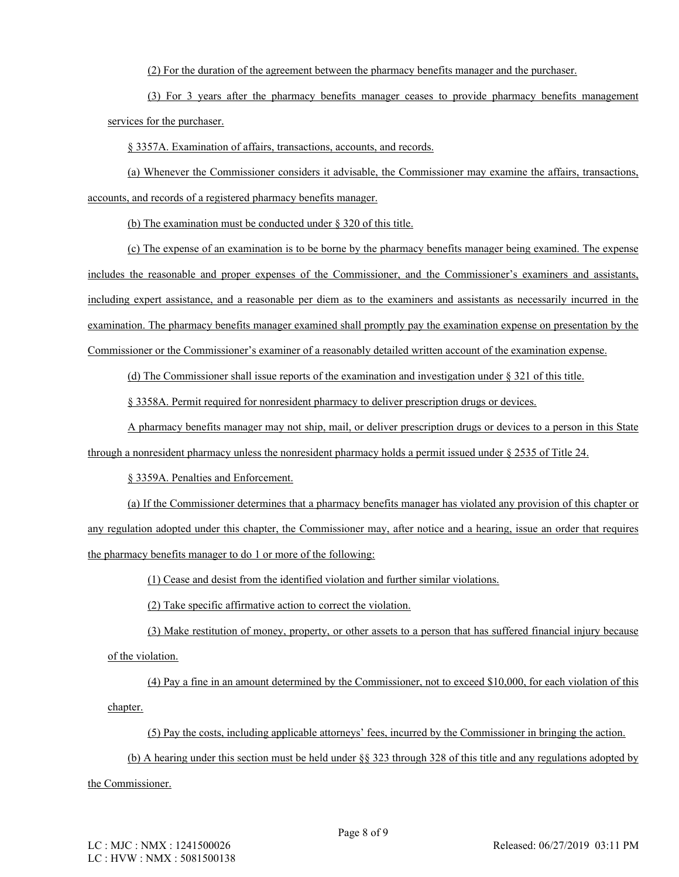(2) For the duration of the agreement between the pharmacy benefits manager and the purchaser.

(3) For 3 years after the pharmacy benefits manager ceases to provide pharmacy benefits management services for the purchaser.

§ 3357A. Examination of affairs, transactions, accounts, and records.

(a) Whenever the Commissioner considers it advisable, the Commissioner may examine the affairs, transactions, accounts, and records of a registered pharmacy benefits manager.

(b) The examination must be conducted under § 320 of this title.

(c) The expense of an examination is to be borne by the pharmacy benefits manager being examined. The expense includes the reasonable and proper expenses of the Commissioner, and the Commissioner's examiners and assistants, including expert assistance, and a reasonable per diem as to the examiners and assistants as necessarily incurred in the examination. The pharmacy benefits manager examined shall promptly pay the examination expense on presentation by the Commissioner or the Commissioner's examiner of a reasonably detailed written account of the examination expense.

(d) The Commissioner shall issue reports of the examination and investigation under § 321 of this title.

§ 3358A. Permit required for nonresident pharmacy to deliver prescription drugs or devices.

A pharmacy benefits manager may not ship, mail, or deliver prescription drugs or devices to a person in this State through a nonresident pharmacy unless the nonresident pharmacy holds a permit issued under § 2535 of Title 24.

§ 3359A. Penalties and Enforcement.

(a) If the Commissioner determines that a pharmacy benefits manager has violated any provision of this chapter or any regulation adopted under this chapter, the Commissioner may, after notice and a hearing, issue an order that requires the pharmacy benefits manager to do 1 or more of the following:

(1) Cease and desist from the identified violation and further similar violations.

(2) Take specific affirmative action to correct the violation.

(3) Make restitution of money, property, or other assets to a person that has suffered financial injury because of the violation.

(4) Pay a fine in an amount determined by the Commissioner, not to exceed \$10,000, for each violation of this chapter.

(5) Pay the costs, including applicable attorneys' fees, incurred by the Commissioner in bringing the action.

(b) A hearing under this section must be held under §§ 323 through 328 of this title and any regulations adopted by

the Commissioner.